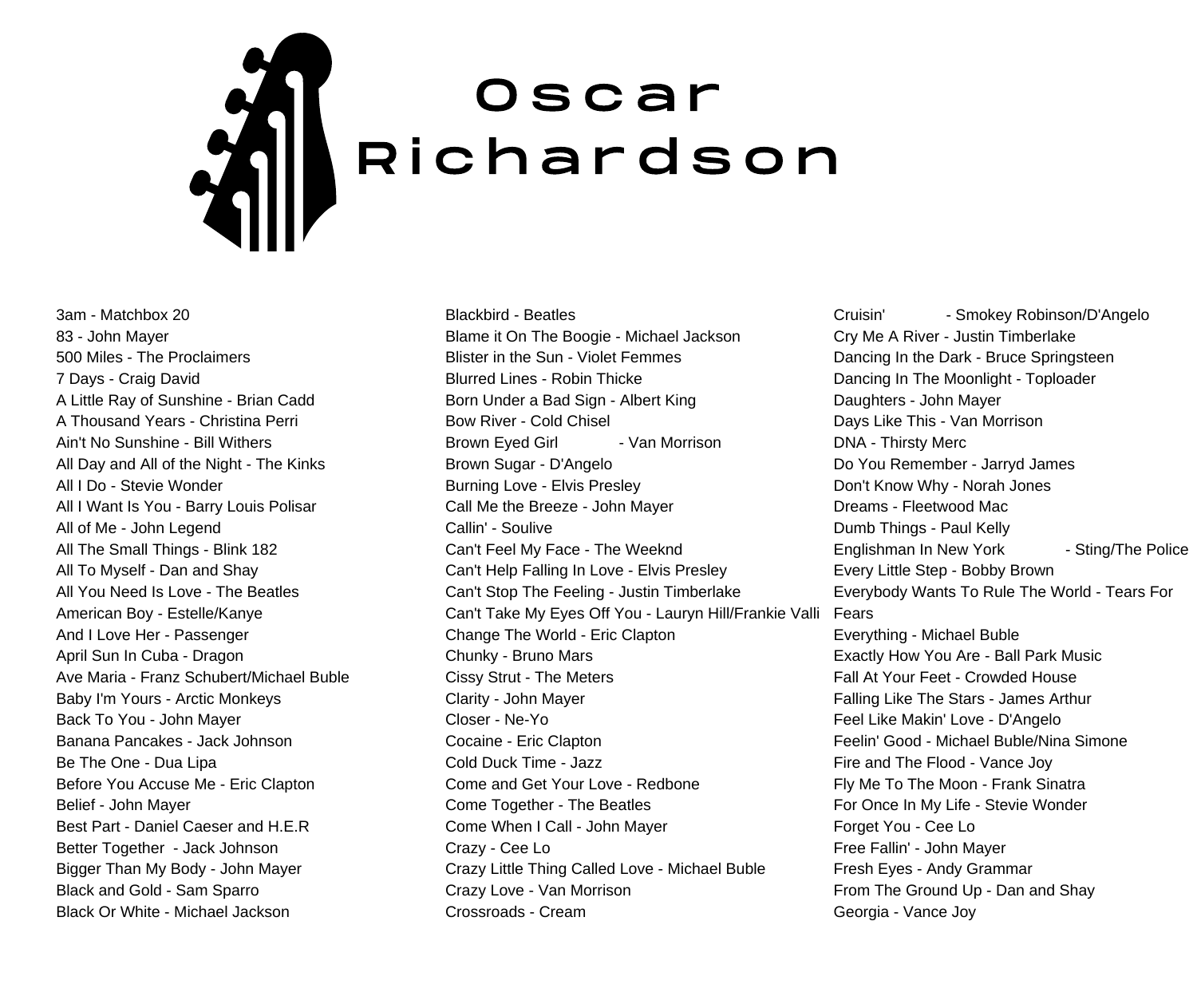## **Oscar Richardson**

3am - Matchbox 20 83 - John Mayer 500 Miles - The Proclaimers 7 Days - Craig David A Little Ray of Sunshine - Brian Cadd A Thousand Years - Christina Perri Ain't No Sunshine - Bill Withers All Day and All of the Night - The Kinks All I Do - Stevie Wonder All I Want Is You - Barry Louis Polisar All of Me - John Legend All The Small Things - Blink 182 All To Myself - Dan and Shay All You Need Is Love - The Beatles American Boy - Estelle/Kanye And I Love Her - Passenger April Sun In Cuba - Dragon Ave Maria - Franz Schubert/Michael Buble Baby I'm Yours - Arctic Monkeys Back To You - John Mayer Banana Pancakes - Jack Johnson Be The One - Dua Lipa Before You Accuse Me - Eric Clapton Belief - John Mayer Best Part - Daniel Caeser and H.E.R Better Together - Jack Johnson Bigger Than My Body - John Mayer Black and Gold - Sam Sparro Black Or White - Michael Jackson

Blackbird - Beatles Blame it On The Boogie - Michael Jackson Blister in the Sun - Violet Femmes Blurred Lines - Robin Thicke Born Under a Bad Sign - Albert King Bow River - Cold Chisel Brown Eyed Girl - Van Morrison Brown Sugar - D'Angelo Burning Love - Elvis Presley Call Me the Breeze - John Mayer Callin' - Soulive Can't Feel My Face - The Weeknd Can't Help Falling In Love - Elvis Presley Can't Stop The Feeling - Justin Timberlake Can't Take My Eyes Off You - Lauryn Hill/Frankie Valli Fears Change The World - Eric Clapton Chunky - Bruno Mars Cissy Strut - The Meters Clarity - John Mayer Closer - Ne-Yo Cocaine - Eric Clapton Cold Duck Time - Jazz Come and Get Your Love - Redbone Come Together - The Beatles Come When I Call - John Mayer Crazy - Cee Lo Crazy Little Thing Called Love - Michael Buble Crazy Love - Van Morrison Crossroads - Cream

Cruisin' - Smokey Robinson/D'Angelo Cry Me A River - Justin Timberlake Dancing In the Dark - Bruce Springsteen Dancing In The Moonlight - Toploader Daughters - John Mayer Days Like This - Van Morrison DNA - Thirsty Merc Do You Remember - Jarryd James Don't Know Why - Norah Jones Dreams - Fleetwood Mac Dumb Things - Paul Kelly Englishman In New York - Sting/The Police Every Little Step - Bobby Brown Everybody Wants To Rule The World - Tears For Everything - Michael Buble Exactly How You Are - Ball Park Music Fall At Your Feet - Crowded House Falling Like The Stars - James Arthur Feel Like Makin' Love - D'Angelo Feelin' Good - Michael Buble/Nina Simone Fire and The Flood - Vance Joy Fly Me To The Moon - Frank Sinatra For Once In My Life - Stevie Wonder Forget You - Cee Lo Free Fallin' - John Mayer Fresh Eyes - Andy Grammar From The Ground Up - Dan and Shay Georgia - Vance Joy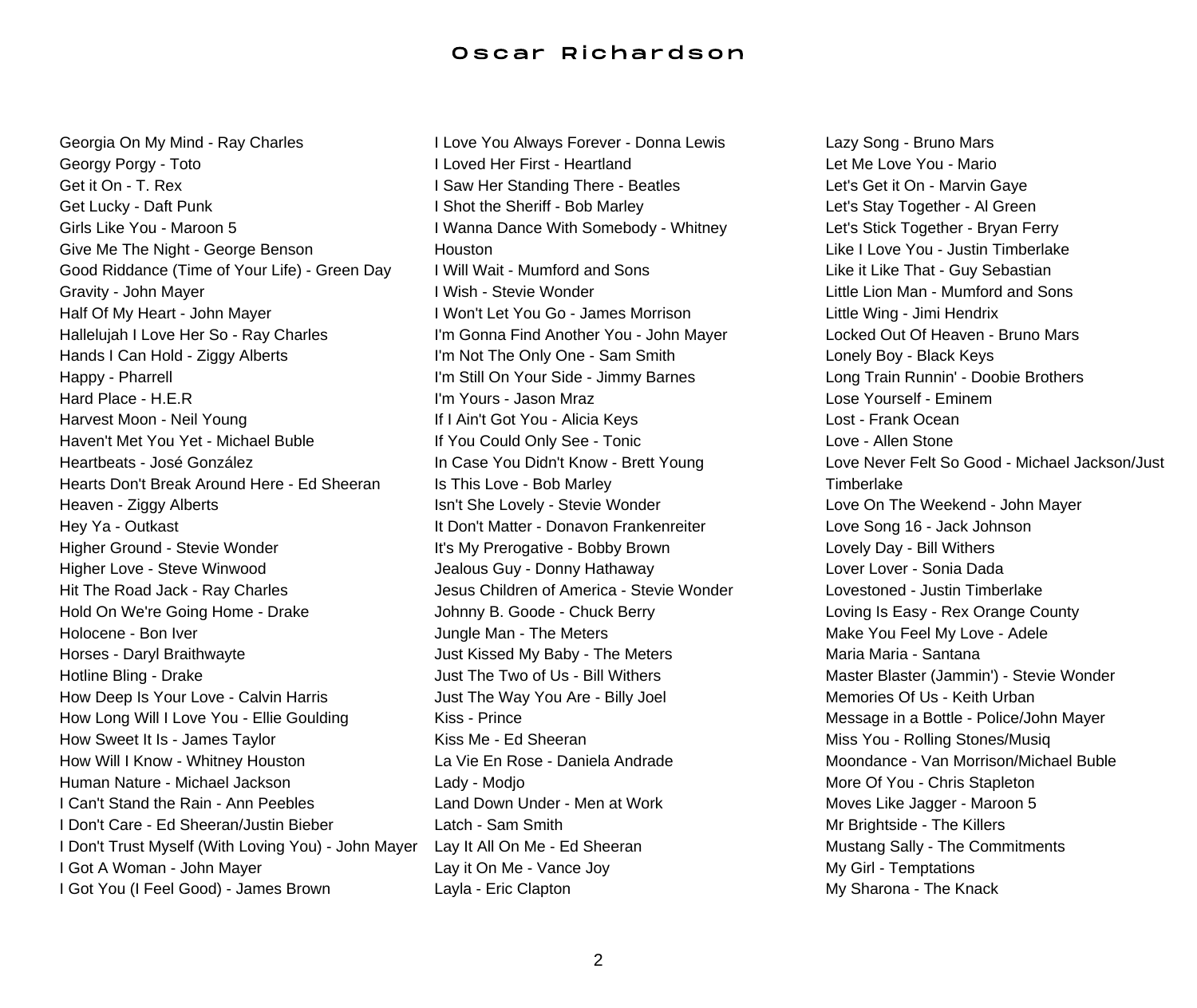## Oscar Richardson

Georgia On My Mind - Ray Charles Georgy Porgy - Toto Get it On - T. Rex Get Lucky - Daft Punk Girls Like You - Maroon 5 Give Me The Night - George Benson Good Riddance (Time of Your Life) - Green Day Gravity - John Mayer Half Of My Heart - John Mayer Hallelujah I Love Her So - Ray Charles Hands I Can Hold - Ziggy Alberts Happy - Pharrell Hard Place - H.E.R Harvest Moon - Neil Young Haven't Met You Yet - Michael Buble Heartbeats - José González Hearts Don't Break Around Here - Ed Sheeran Heaven - Ziggy Alberts Hey Ya - Outkast Higher Ground - Stevie Wonder Higher Love - Steve Winwood Hit The Road Jack - Ray Charles Hold On We're Going Home - Drake Holocene - Bon Iver Horses - Daryl Braithwayte Hotline Bling - Drake How Deep Is Your Love - Calvin Harris How Long Will I Love You - Ellie Goulding How Sweet It Is - James Taylor How Will I Know - Whitney Houston Human Nature - Michael Jackson I Can't Stand the Rain - Ann Peebles I Don't Care - Ed Sheeran/Justin Bieber I Don't Trust Myself (With Loving You) - John Mayer Lay It All On Me - Ed Sheeran I Got A Woman - John Mayer I Got You (I Feel Good) - James Brown

I Love You Always Forever - Donna Lewis I Loved Her First - Heartland I Saw Her Standing There - Beatles I Shot the Sheriff - Bob Marley I Wanna Dance With Somebody - Whitney Houston I Will Wait - Mumford and Sons I Wish - Stevie Wonder I Won't Let You Go - James Morrison I'm Gonna Find Another You - John Mayer I'm Not The Only One - Sam Smith I'm Still On Your Side - Jimmy Barnes I'm Yours - Jason Mraz If I Ain't Got You - Alicia Keys If You Could Only See - Tonic In Case You Didn't Know - Brett Young Is This Love - Bob Marley Isn't She Lovely - Stevie Wonder It Don't Matter - Donavon Frankenreiter It's My Prerogative - Bobby Brown Jealous Guy - Donny Hathaway Jesus Children of America - Stevie Wonder Johnny B. Goode - Chuck Berry Jungle Man - The Meters Just Kissed My Baby - The Meters Just The Two of Us - Bill Withers Just The Way You Are - Billy Joel Kiss - Prince Kiss Me - Ed Sheeran La Vie En Rose - Daniela Andrade Lady - Modjo Land Down Under - Men at Work Latch - Sam Smith Lay it On Me - Vance Joy Layla - Eric Clapton

Lazy Song - Bruno Mars Let Me Love You - Mario Let's Get it On - Marvin Gaye Let's Stay Together - Al Green Let's Stick Together - Bryan Ferry Like I Love You - Justin Timberlake Like it Like That - Guy Sebastian Little Lion Man - Mumford and Sons Little Wing - Jimi Hendrix Locked Out Of Heaven - Bruno Mars Lonely Boy - Black Keys Long Train Runnin' - Doobie Brothers Lose Yourself - Eminem Lost - Frank Ocean Love - Allen Stone Love Never Felt So Good - Michael Jackson/Just Timberlake Love On The Weekend - John Mayer Love Song 16 - Jack Johnson Lovely Day - Bill Withers Lover Lover - Sonia Dada Lovestoned - Justin Timberlake Loving Is Easy - Rex Orange County Make You Feel My Love - Adele Maria Maria - Santana Master Blaster (Jammin') - Stevie Wonder Memories Of Us - Keith Urban Message in a Bottle - Police/John Mayer Miss You - Rolling Stones/Musiq Moondance - Van Morrison/Michael Buble More Of You - Chris Stapleton Moves Like Jagger - Maroon 5 Mr Brightside - The Killers Mustang Sally - The Commitments My Girl - Temptations My Sharona - The Knack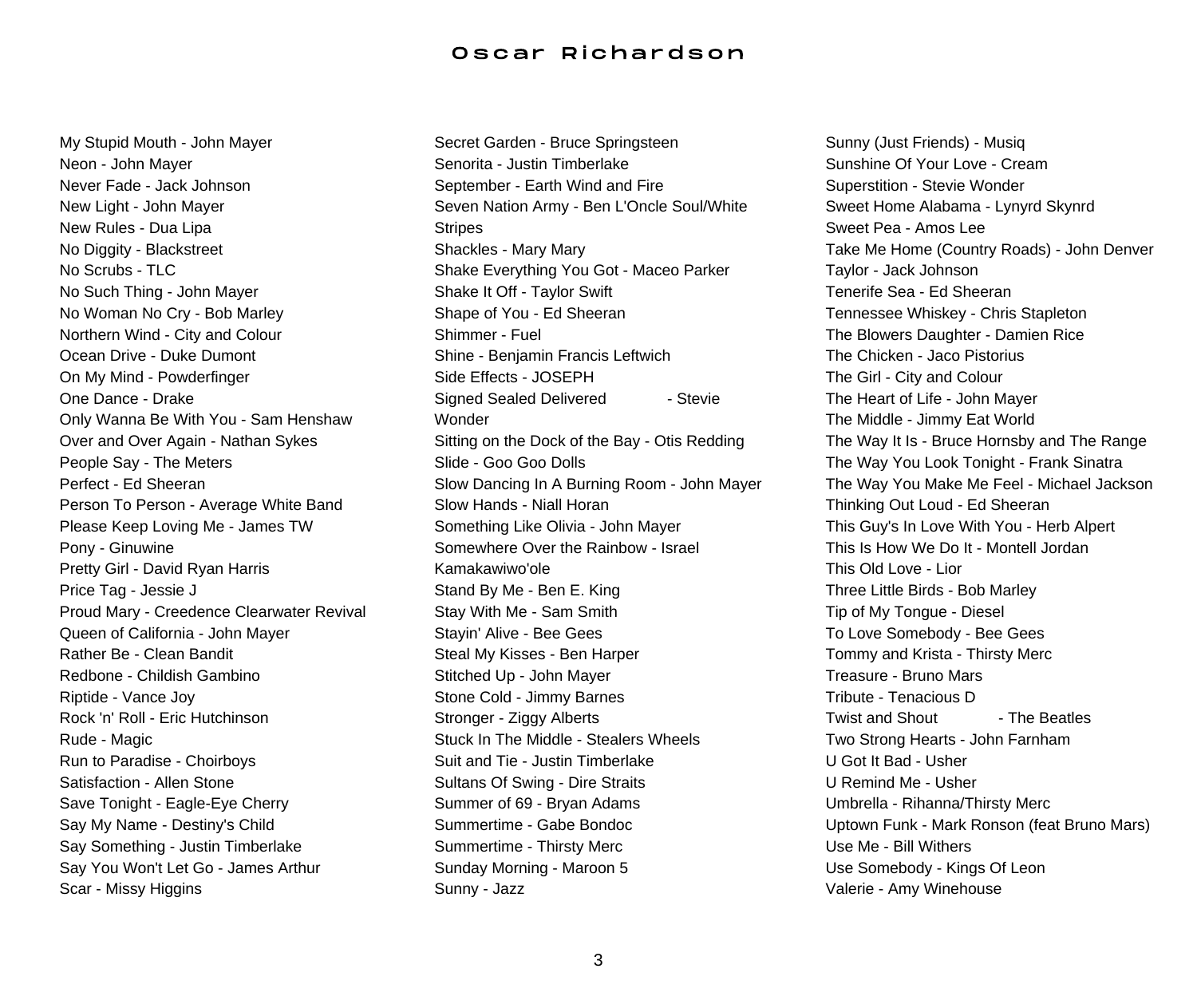## O s c ar Richardson

My Stupid Mouth - John Mayer Neon - John Mayer Never Fade - Jack Johnson New Light - John Mayer New Rules - Dua Lipa No Diggity - Blackstreet No Scrubs - TLC No Such Thing - John Mayer No Woman No Cry - Bob Marley Northern Wind - City and Colour Ocean Drive - Duke Dumont On My Mind - Powderfinger One Dance - Drake Only Wanna Be With You - Sam Henshaw Over and Over Again - Nathan Sykes People Say - The Meters Perfect - Ed Sheeran Person To Person - Average White Band Please Keep Loving Me - James TW Pony - Ginuwine Pretty Girl - David Ryan Harris Price Tag - Jessie J Proud Mary - Creedence Clearwater Revival Queen of California - John Mayer Rather Be - Clean Bandit Redbone - Childish Gambino Riptide - Vance Joy Rock 'n' Roll - Eric Hutchinson Rude - Magic Run to Paradise - Choirboys Satisfaction - Allen Stone Save Tonight - Eagle-Eye Cherry Say My Name - Destiny's Child Say Something - Justin Timberlake Say You Won't Let Go - James Arthur Scar - Missy Higgins

Secret Garden - Bruce Springsteen Senorita - Justin Timberlake September - Earth Wind and Fire Seven Nation Army - Ben L'Oncle Soul/White **Stripes** Shackles - Mary Mary Shake Everything You Got - Maceo Parker Shake It Off - Taylor Swift Shape of You - Ed Sheeran Shimmer - Fuel Shine - Benjamin Francis Leftwich Side Effects - JOSEPH Signed Sealed Delivered - Stevie Wonder Sitting on the Dock of the Bay - Otis Redding Slide - Goo Goo Dolls Slow Dancing In A Burning Room - John Mayer Slow Hands - Niall Horan Something Like Olivia - John Mayer Somewhere Over the Rainbow - Israel Kamakawiwo'ole Stand By Me - Ben E. King Stay With Me - Sam Smith Stayin' Alive - Bee Gees Steal My Kisses - Ben Harper Stitched Up - John Mayer Stone Cold - Jimmy Barnes Stronger - Ziggy Alberts Stuck In The Middle - Stealers Wheels Suit and Tie - Justin Timberlake Sultans Of Swing - Dire Straits Summer of 69 - Bryan Adams Summertime - Gabe Bondoc Summertime - Thirsty Merc Sunday Morning - Maroon 5 Sunny - Jazz

Sunny (Just Friends) - Musiq Sunshine Of Your Love - Cream Superstition - Stevie Wonder Sweet Home Alabama - Lynyrd Skynrd Sweet Pea - Amos Lee Take Me Home (Country Roads) - John Denver Taylor - Jack Johnson Tenerife Sea - Ed Sheeran Tennessee Whiskey - Chris Stapleton The Blowers Daughter - Damien Rice The Chicken - Jaco Pistorius The Girl - City and Colour The Heart of Life - John Mayer The Middle - Jimmy Eat World The Way It Is - Bruce Hornsby and The Range The Way You Look Tonight - Frank Sinatra The Way You Make Me Feel - Michael Jackson Thinking Out Loud - Ed Sheeran This Guy's In Love With You - Herb Alpert This Is How We Do It - Montell Jordan This Old Love - Lior Three Little Birds - Bob Marley Tip of My Tongue - Diesel To Love Somebody - Bee Gees Tommy and Krista - Thirsty Merc Treasure - Bruno Mars Tribute - Tenacious D Twist and Shout - The Beatles Two Strong Hearts - John Farnham U Got It Bad - Usher U Remind Me - Usher Umbrella - Rihanna/Thirsty Merc Uptown Funk - Mark Ronson (feat Bruno Mars) Use Me - Bill Withers Use Somebody - Kings Of Leon Valerie - Amy Winehouse